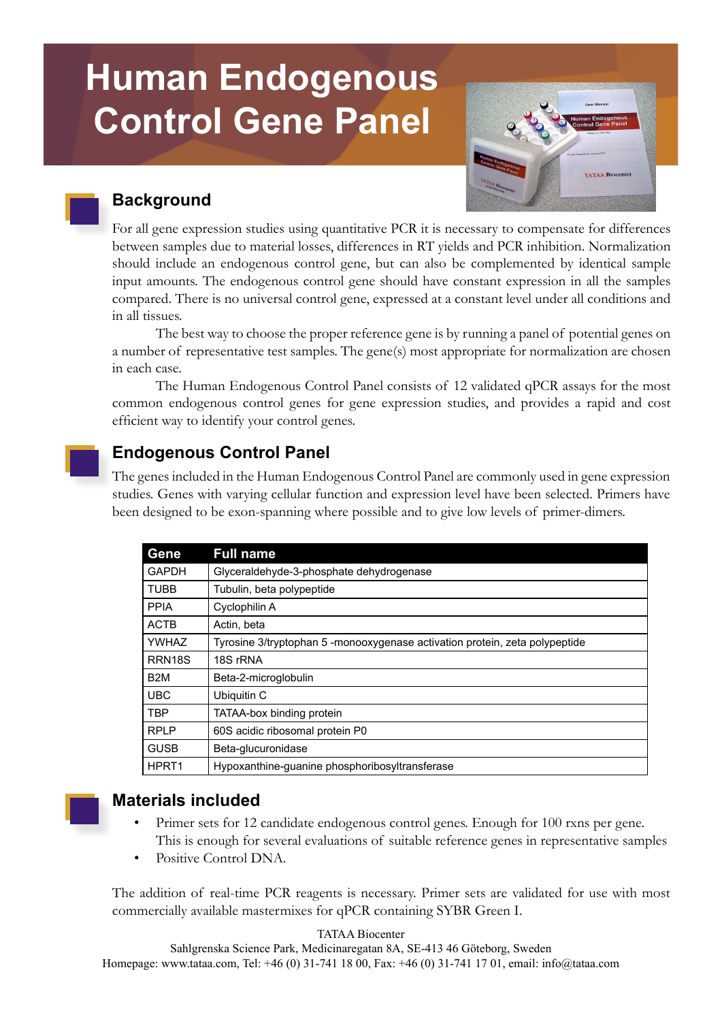# **Human Endogenous Control Gene Panel**



# **Background**

For all gene expression studies using quantitative PCR it is necessary to compensate for differences between samples due to material losses, differences in RT yields and PCR inhibition. Normalization should include an endogenous control gene, but can also be complemented by identical sample input amounts. The endogenous control gene should have constant expression in all the samples compared. There is no universal control gene, expressed at a constant level under all conditions and in all tissues.

The best way to choose the proper reference gene is by running a panel of potential genes on a number of representative test samples. The gene(s) most appropriate for normalization are chosen in each case.

The Human Endogenous Control Panel consists of 12 validated qPCR assays for the most common endogenous control genes for gene expression studies, and provides a rapid and cost efficient way to identify your control genes.

# **Endogenous Control Panel**

The genes included in the Human Endogenous Control Panel are commonly used in gene expression studies. Genes with varying cellular function and expression level have been selected. Primers have been designed to be exon-spanning where possible and to give low levels of primer-dimers.

| <b>Gene</b>       | <b>Full name</b>                                                            |
|-------------------|-----------------------------------------------------------------------------|
| <b>GAPDH</b>      | Glyceraldehyde-3-phosphate dehydrogenase                                    |
| <b>TUBB</b>       | Tubulin, beta polypeptide                                                   |
| <b>PPIA</b>       | Cyclophilin A                                                               |
| <b>ACTB</b>       | Actin, beta                                                                 |
| <b>YWHAZ</b>      | Tyrosine 3/tryptophan 5 -monooxygenase activation protein, zeta polypeptide |
| RRN18S            | 18S rRNA                                                                    |
| B <sub>2</sub> M  | Beta-2-microglobulin                                                        |
| <b>UBC</b>        | Ubiquitin C                                                                 |
| TBP               | TATAA-box binding protein                                                   |
| <b>RPLP</b>       | 60S acidic ribosomal protein P0                                             |
| <b>GUSB</b>       | Beta-glucuronidase                                                          |
| HPRT <sub>1</sub> | Hypoxanthine-guanine phosphoribosyltransferase                              |



## **Materials included**

- Primer sets for 12 candidate endogenous control genes. Enough for 100 rxns per gene. This is enough for several evaluations of suitable reference genes in representative samples
- Positive Control DNA.

The addition of real-time PCR reagents is necessary. Primer sets are validated for use with most commercially available mastermixes for qPCR containing SYBR Green I.